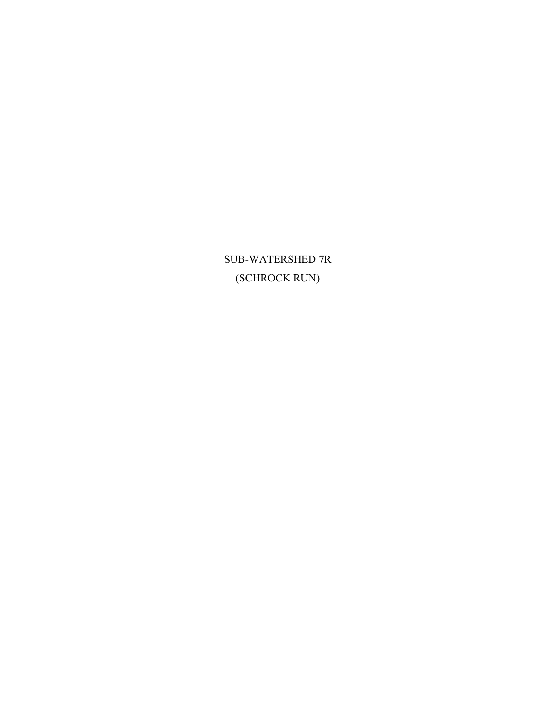SUB-WATERSHED 7R (SCHROCK RUN)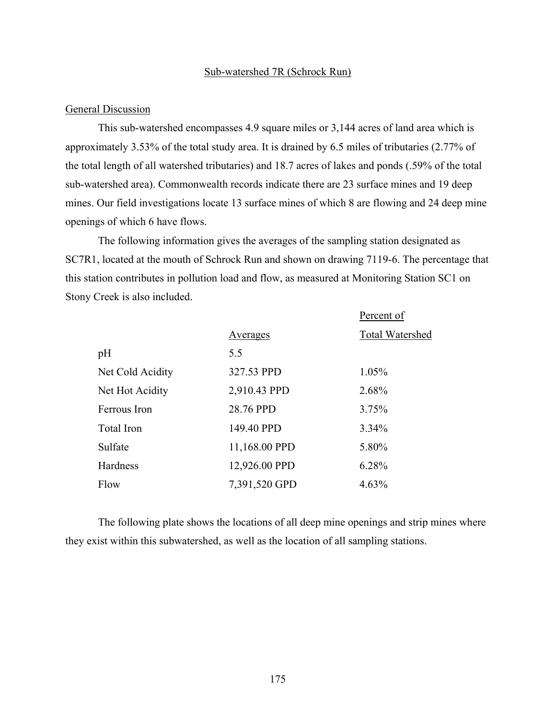#### Sub-watershed 7R (Schrock Run)

#### General Discussion

This sub-watershed encompasses 4.9 square miles or 3,144 acres of land area which is approximately 3.53% of the total study area. It is drained by 6.5 miles of tributaries (2.77% of the total length of all watershed tributaries) and 18.7 acres of lakes and ponds (.59% of the total sub-watershed area). Commonwealth records indicate there are 23 surface mines and 19 deep mines. Our field investigations locate 13 surface mines of which 8 are flowing and 24 deep mine openings of which 6 have flows.

The following information gives the averages of the sampling station designated as SC7R1, located at the mouth of Schrock Run and shown on drawing 7119-6. The percentage that this station contributes in pollution load and flow, as measured at Monitoring Station SC1 on Stony Creek is also included.

|                  |               | Percent of             |
|------------------|---------------|------------------------|
|                  | Averages      | <b>Total Watershed</b> |
| pH               | 5.5           |                        |
| Net Cold Acidity | 327.53 PPD    | 1.05%                  |
| Net Hot Acidity  | 2,910.43 PPD  | 2.68%                  |
| Ferrous Iron     | 28.76 PPD     | 3.75%                  |
| Total Iron       | 149.40 PPD    | 3.34%                  |
| Sulfate          | 11,168.00 PPD | 5.80%                  |
| <b>Hardness</b>  | 12,926.00 PPD | 6.28%                  |
| Flow             | 7,391,520 GPD | 4.63%                  |

The following plate shows the locations of all deep mine openings and strip mines where they exist within this subwatershed, as well as the location of all sampling stations.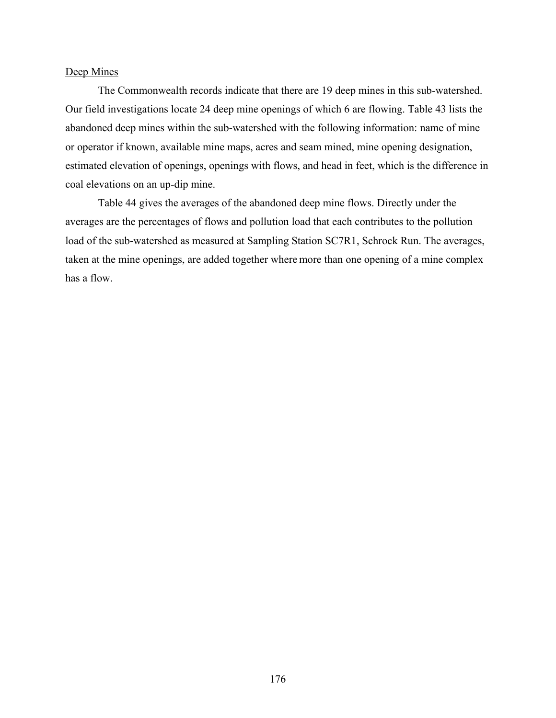### Deep Mines

The Commonwealth records indicate that there are 19 deep mines in this sub-watershed. Our field investigations locate 24 deep mine openings of which 6 are flowing. Table 43 lists the abandoned deep mines within the sub-watershed with the following information: name of mine or operator if known, available mine maps, acres and seam mined, mine opening designation, estimated elevation of openings, openings with flows, and head in feet, which is the difference in coal elevations on an up-dip mine.

Table 44 gives the averages of the abandoned deep mine flows. Directly under the averages are the percentages of flows and pollution load that each contributes to the pollution load of the sub-watershed as measured at Sampling Station SC7R1, Schrock Run. The averages, taken at the mine openings, are added together where more than one opening of a mine complex has a flow.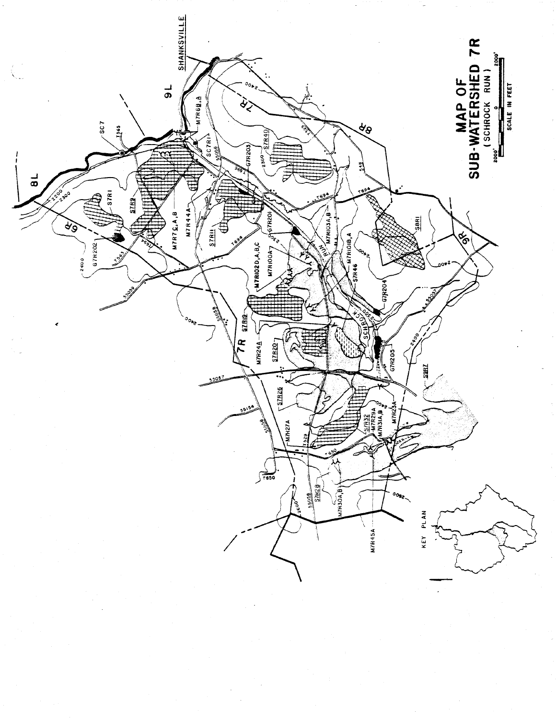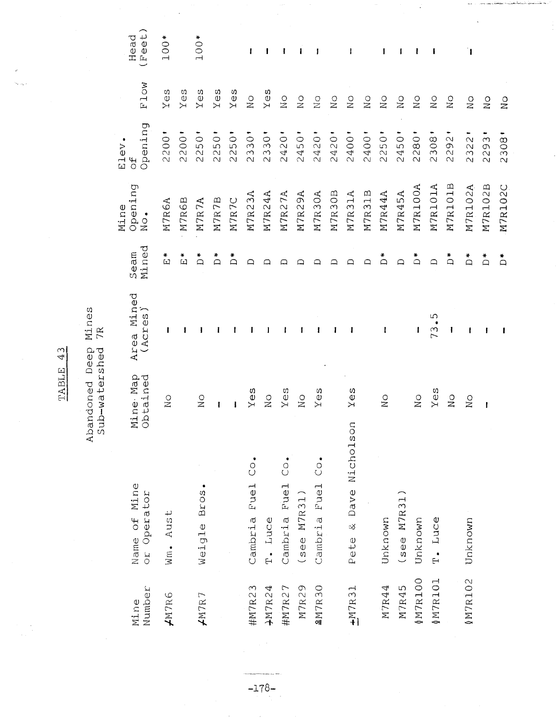|                |                                  |                      |                                        |                           | Mine                        | Elev.                                                                      |                  |                        |
|----------------|----------------------------------|----------------------|----------------------------------------|---------------------------|-----------------------------|----------------------------------------------------------------------------|------------------|------------------------|
| Number<br>Mine | Name of Mine<br>or Operator      | Mine Map<br>Obtained | Area Mined<br>$\overline{ }$<br>(Acres | Seam<br>Mined             | Opening<br>$\sum_{i=1}^{n}$ | Opening<br>ЪР                                                              | Flow             | Head<br>Feet)          |
| AMTR6          | $Wm - Aust$                      | $\sum_{i=1}^{n}$     | ı                                      | ₩<br>$\omega$             | M7R6A                       | 200<br>$\overline{\mathcal{C}}$                                            | U)<br>Уe         | $00*$<br>$\rightarrow$ |
|                |                                  |                      |                                        | ₩<br>$\boxed{\mathbf{L}}$ | M7R6B                       | 2200                                                                       | Yes              |                        |
| $\neq$ M7R7    | Weigle Bros.                     | $\frac{0}{2}$        |                                        | $\sum_{i=1}^{n}$          | M7R7A                       | 2250                                                                       | Yes              | 100*                   |
|                |                                  | $\mathbf{I}$         |                                        | $\sum_{i=1}^{n}$          | M7R7B                       | 2250                                                                       | $Y \ominus S$    |                        |
|                |                                  | ł                    |                                        | $\sum_{i=1}^{n}$          | M7R7C                       | 2250'                                                                      | Yes              |                        |
| #M7R23         | $\dot{c}$<br>Fuel<br>Cambria     | Yes                  |                                        | ≏                         | M7R23A                      | 2330                                                                       | $\sum_{i=1}^{n}$ |                        |
| $+MTR24$       | T. Luce                          | $\frac{0}{2}$        |                                        | ≏                         | M7R24A                      | 2330                                                                       | $Y \ominus S$    |                        |
| #M7R27         | $\overline{c}$ .<br>Cambria Fuel | Yes                  |                                        | ≏                         | M7R27A                      | 2420                                                                       | $\sum_{i=1}^{n}$ |                        |
| M7R29          | $($ see M7R31)                   | $\overline{N}$       | I                                      |                           | M7R29A                      | 2450                                                                       | $\frac{0}{2}$    |                        |
| 207R30         | $\ddot{c}$<br>Cambria Fuel       | Yes                  | 1                                      | ≏                         | M7R30A                      | 2420                                                                       | $\frac{0}{2}$    | I                      |
|                |                                  |                      | ł                                      | ≏                         | M7R30B                      | 2420                                                                       | $\frac{0}{2}$    |                        |
| $+$ M7R31      | Pete & Dave Nicholson            | ςS<br>⊁              | I                                      | ≏                         | M7R31A                      | 2400                                                                       | $\sum_{i=1}^{n}$ | ł                      |
|                |                                  |                      |                                        | ≏                         | M7R31B                      | 2400                                                                       | $\sum_{i=1}^{n}$ |                        |
| M7R44          | Unknown                          | $\sum_{i=1}^{n}$     | 1                                      | ₩<br>≏                    | M7R44A                      | 2250                                                                       | $\frac{1}{2}$    |                        |
| M7R45          | (see M7R31)                      |                      |                                        | $\Box$                    | M7R45A                      | 2450                                                                       | $\sum_{i=1}^{n}$ | ł                      |
| 00137810       | Unknown                          | $\frac{0}{2}$        | ł                                      | $\sum_{i=1}^{n}$          | M7R100A                     | 2280                                                                       | $\sum_{i=1}^{n}$ |                        |
| 0M7R101        | T. Luce                          | Yes                  | ഗ<br>73                                | $\Box$                    | M7R101A                     | 2308                                                                       | $\rm _N^O$       | 1                      |
|                |                                  | $\sum_{i=1}^{n}$     | ł                                      | $\sum_{i=1}^{n}$          | M7R101B                     | 1292<br>$\sim$                                                             | $\sum_{i=1}^{n}$ |                        |
| MTR102         | Unknown                          | $\sum_{i=1}^{n}$     | ł                                      | $\stackrel{*}{\Box}$      | M7R102A                     | $\overline{\mathcal{C}}$<br>$\overline{\mathcal{L}}$<br>$\infty$<br>$\sim$ | $\sum_{i=1}^{n}$ | T                      |
|                |                                  | $\mathbf{I}$         | ł                                      | ₩<br>$\Box$               | M7R102B                     | $\infty$<br>29<br>$\infty$                                                 | $\sum_{i=1}^{n}$ |                        |
|                |                                  |                      | 1                                      | $\stackrel{*}{\Omega}$    | M7R102C                     | 2308                                                                       | $\frac{0}{N}$    |                        |

 $\cdot$ 

TABLE 43

 $\frac{1}{2}$ 

Abandoned Deep Mines<br>Sub-watershed 7R

 $-178-$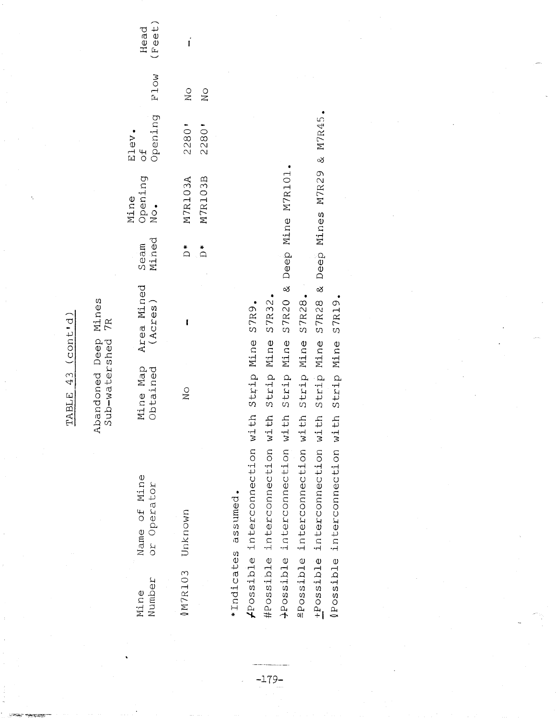|                                                                                                                                                                                                                                                        | (const.d)<br>43<br>TABLE                                                                                                                                                                                                                                                          |                                               |                                             |                                             |                             |               |
|--------------------------------------------------------------------------------------------------------------------------------------------------------------------------------------------------------------------------------------------------------|-----------------------------------------------------------------------------------------------------------------------------------------------------------------------------------------------------------------------------------------------------------------------------------|-----------------------------------------------|---------------------------------------------|---------------------------------------------|-----------------------------|---------------|
|                                                                                                                                                                                                                                                        | Mines<br>7R<br>Deep<br>Sub-watershed<br>bandoned<br>⊄                                                                                                                                                                                                                             |                                               |                                             |                                             |                             |               |
| Name of Mine<br>or Operator<br>Number<br>Mine                                                                                                                                                                                                          | Area Mined<br>(Acres)<br>Mine Map<br>Obtained                                                                                                                                                                                                                                     | Mined<br>Seam                                 | Opening<br>Mine<br>$\overline{\text{N}}$ o. | Opening<br>Elev<br>$\sigma_{\rm C}^{\rm H}$ | F1ow                        | Feet)<br>Head |
| Unknown<br>0M7R103                                                                                                                                                                                                                                     | f<br>$\frac{0}{1}$                                                                                                                                                                                                                                                                | $\overset{\ast}{\Box}$<br>$\overset{*}{\Box}$ | M7R103B<br>M7R103A                          | 2280'<br>2280'                              | $\rm _N^O$<br>$\frac{0}{N}$ | $\mathbf{i}$  |
| interconnection wi<br>interconnection wi<br>interconnection wi<br>interconnection wi<br>interconnection<br>interconnection<br>assumed.<br>*Indicates<br>#Possible<br>2POSS1D1e<br>+Possible<br>$f$ Possible<br><i><b>APossible</b></i><br>$0P$ ossible | ಳ<br>⊗<br>S7R28.<br>S7R19.<br>S7R20<br>S7R32<br>S7R28<br>S7R9.<br>Strip Mine<br>Mine<br>Mine<br>Mine<br>Mine<br>Mine<br>Strip<br>Strip<br>Strip<br>Strip<br>Strip<br>$\pm 5$<br>$\ddot{t}$<br>$\pm$<br>$t\ddot{t}$<br>t <sub>1</sub><br>$\pm$ h<br>$\overline{z}$<br>$\mathbf{z}$ | Deep<br>Deep                                  | Mines M7R29<br>Mine M7R101                  | M7R45<br>$\infty$                           |                             |               |
|                                                                                                                                                                                                                                                        |                                                                                                                                                                                                                                                                                   |                                               |                                             |                                             |                             |               |

 $-179-$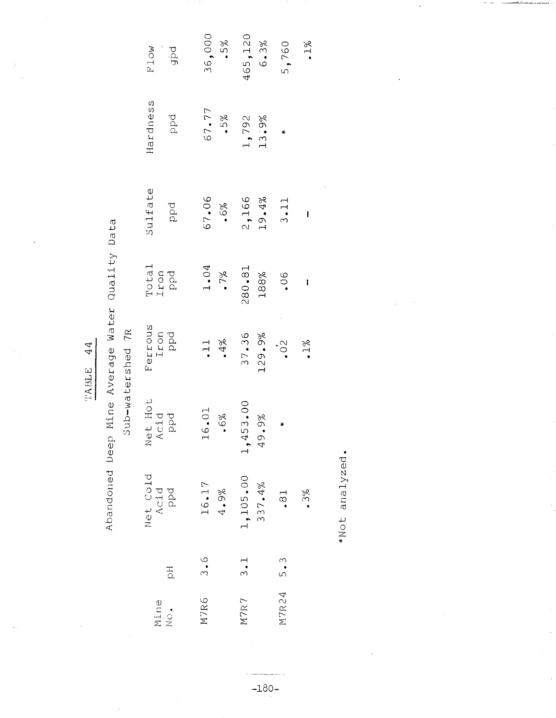Abandoned Deep Mine Average Water Quality Data

| ≃<br>ŗ                                                      |
|-------------------------------------------------------------|
| 77<br>Φ<br>c<br>n<br>بك<br>0<br>ىد<br>m<br>3<br>ł<br>ל<br>S |

| <b>P1ow</b>             | 36,000       | 465,120                 | 5,760         |
|-------------------------|--------------|-------------------------|---------------|
| pdf                     | .5%          | 6.3%                    | $\frac{5}{2}$ |
| Hardness                | 67.77        | 1,792                   | ₩             |
| ppd                     | $.5\%$       | 13.9%                   |               |
| Sulfate                 | 67.06        | 2,166                   | 3.11          |
| ppd                     | .6%          | 19.4%                   | ı             |
| Total<br>Iron<br>PPd    | 1.04         | 280.81                  | .06           |
|                         | $.7\%$       | 188%                    | ţ             |
| Ferrous<br>Iron<br>Ppd  | $\cdot$ 11   | 37.36                   | $\cdot 0.$    |
|                         | .4%          | 129.9%                  | $.1\%$        |
| Net Hot<br>Acid<br>ppd  | 16.01<br>.6% | 153.00<br>.9%<br>Q<br>4 | $\star$       |
| Net Cold<br>Acid<br>PPd | 16.17        | 1,105.00                | .3%           |
|                         | $4.9\%$      | 337.4%                  | .8.           |
| $\overline{D}$          | 3.6          | 3.1                     |               |
| Mine<br>No.             | M7R6         | M7R7                    | M7R24 5.3     |

\*Not analyzed.

 $-180-$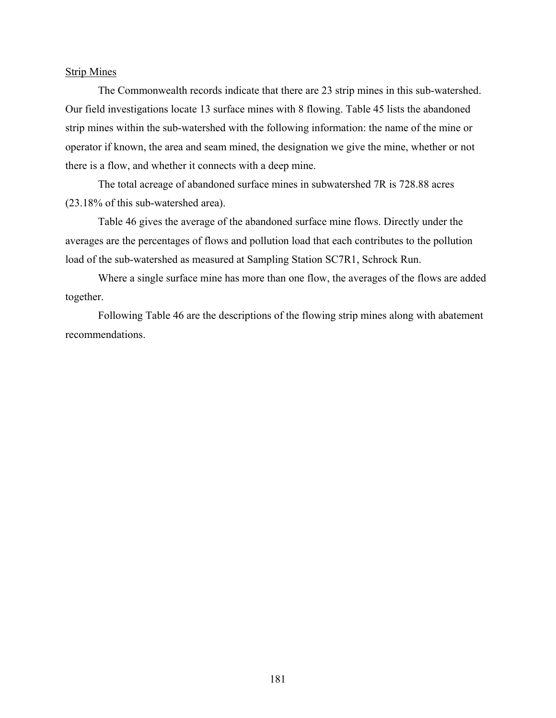#### Strip Mines

The Commonwealth records indicate that there are 23 strip mines in this sub-watershed. Our field investigations locate 13 surface mines with 8 flowing. Table 45 lists the abandoned strip mines within the sub-watershed with the following information: the name of the mine or operator if known, the area and seam mined, the designation we give the mine, whether or not there is a flow, and whether it connects with a deep mine.

The total acreage of abandoned surface mines in subwatershed 7R is 728.88 acres (23.18% of this sub-watershed area).

Table 46 gives the average of the abandoned surface mine flows. Directly under the averages are the percentages of flows and pollution load that each contributes to the pollution load of the sub-watershed as measured at Sampling Station SC7R1, Schrock Run.

Where a single surface mine has more than one flow, the averages of the flows are added together.

Following Table 46 are the descriptions of the flowing strip mines along with abatement recommendations.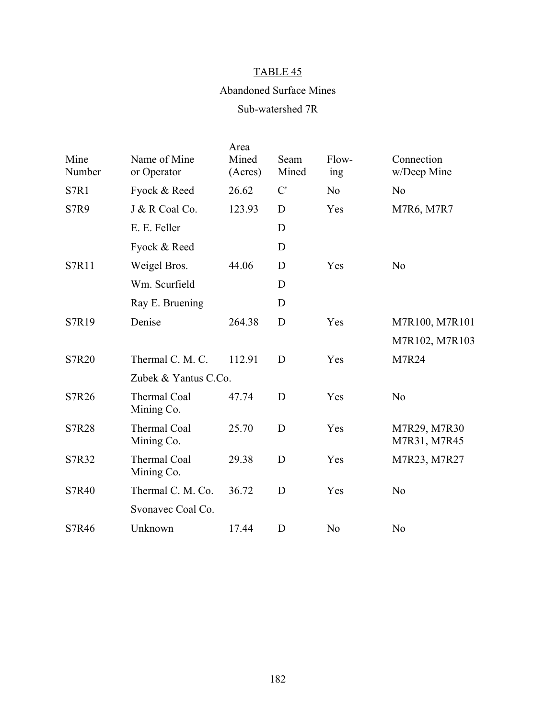# Abandoned Surface Mines

# Sub-watershed 7R

| Mine<br>Number | Name of Mine<br>or Operator       | Area<br>Mined<br>(Acres) | Seam<br>Mined | Flow-<br>ing   | Connection<br>w/Deep Mine    |
|----------------|-----------------------------------|--------------------------|---------------|----------------|------------------------------|
| S7R1           | Fyock & Reed                      | 26.62                    | C'            | N <sub>o</sub> | N <sub>o</sub>               |
| <b>S7R9</b>    | J & R Coal Co.                    | 123.93                   | D             | Yes            | M7R6, M7R7                   |
|                | E. E. Feller                      |                          | D             |                |                              |
|                | Fyock & Reed                      |                          | D             |                |                              |
| S7R11          | Weigel Bros.                      | 44.06                    | D             | Yes            | N <sub>o</sub>               |
|                | Wm. Scurfield                     |                          | D             |                |                              |
|                | Ray E. Bruening                   |                          | D             |                |                              |
| S7R19          | Denise                            | 264.38                   | D             | Yes            | M7R100, M7R101               |
|                |                                   |                          |               |                | M7R102, M7R103               |
| S7R20          | Thermal C. M. C.                  | 112.91                   | D             | Yes            | M7R24                        |
|                | Zubek & Yantus C.Co.              |                          |               |                |                              |
| S7R26          | Thermal Coal<br>Mining Co.        | 47.74                    | D             | Yes            | N <sub>o</sub>               |
| <b>S7R28</b>   | <b>Thermal Coal</b><br>Mining Co. | 25.70                    | D             | Yes            | M7R29, M7R30<br>M7R31, M7R45 |
| S7R32          | <b>Thermal Coal</b><br>Mining Co. | 29.38                    | D             | Yes            | M7R23, M7R27                 |
| <b>S7R40</b>   | Thermal C. M. Co.                 | 36.72                    | D             | Yes            | N <sub>o</sub>               |
|                | Svonavec Coal Co.                 |                          |               |                |                              |
| S7R46          | Unknown                           | 17.44                    | D             | N <sub>0</sub> | N <sub>o</sub>               |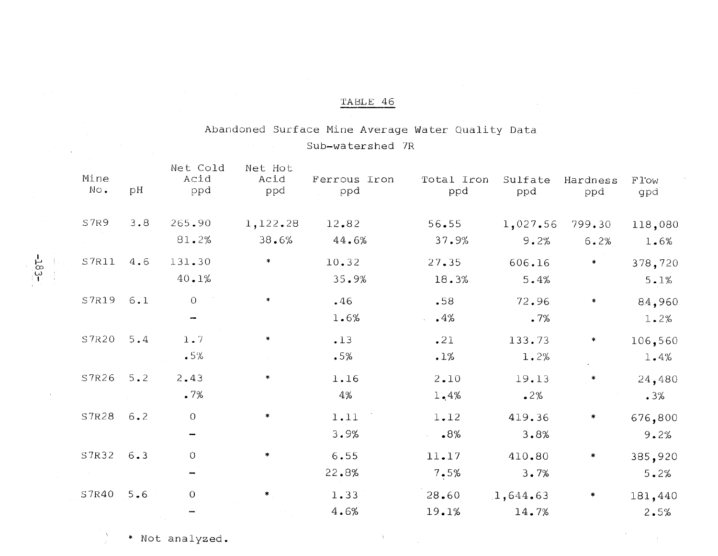# Abandoned Surface Mine Average Water Quality Data Sub-watershed 7R

| Mine<br>No. | рH          | Net Cold<br>Acid<br>ppd | Net Hot<br>Acid<br>ppd | Ferrous Iron<br>ppd | Total Iron<br>ppd | Sulfate<br>ppd | Hardness<br>ppd | F <sub>1</sub> ow<br>gpd |
|-------------|-------------|-------------------------|------------------------|---------------------|-------------------|----------------|-----------------|--------------------------|
| S7R9        | 3.8         | 265.90                  | 1,122.28               | 12.82               | 56.55             | 1,027.56       | 799.30          | 118,080                  |
|             |             | 81.2%                   | 38.6%                  | 44.6%               | 37.9%             | 9.2%           | 6.2%            | 1.6%                     |
| S7R11       | 4.6         | 131.30                  | $\ast$                 | 10.32               | 27.35             | 606.16         | ∗               | 378,720                  |
|             |             | 40.1%                   |                        | 35.9%               | 18.3%             | 5.4%           |                 | 5.1%                     |
| S7R19       | 6.1         | 0                       | $\ast$                 | .46                 | .58               | 72.96          | ∗               | 84,960                   |
|             |             | ÷                       |                        | 1.6%                | .4%               | .7%            |                 | 1.2%                     |
| S7R20       | $5.4$       | $1.7$                   | ×                      | .13                 | .21               | 133.73         | *               | 106,560                  |
|             |             | .5%                     |                        | .5%                 | $.1\%$            | 1.2%           |                 | 1.4%                     |
| S7R26       | $5 \cdot 2$ | 2.43                    | *                      | 1.16                | 2.10              | 19.13          |                 | 24,480                   |
|             |             | .7%                     |                        | 4%                  | 1,4%              | 2%             |                 | .3%                      |
| S7R28       | 6.2         | $\overline{O}$          | $\ast$                 | 1.11                | 1.12              | 419.36         | *               | 676,800                  |
|             |             |                         |                        | 3.9%                | $.8\%$            | 3.8%           |                 | 9.2%                     |
| S7R32       | 6.3         | $\mathcal{O}$           |                        | 6.55                | 11.17             | 410.80         | ∗               | 385,920                  |
|             |             |                         |                        | 22.8%               | 7.5%              | 3.7%           |                 | 5.2%                     |
| S7R40       | 5.6         | $\mathcal{O}$           | $*$                    | 1.33                | 28.60             | 1,644.63       | *               | 181,440                  |
|             |             |                         |                        | 4.6%                | 19.1%             | 14.7%          |                 | 2.5%                     |
|             |             |                         |                        |                     |                   |                |                 |                          |

 $\mathcal{A}$ 

 $-183-$ 

\* Not analyzed.

À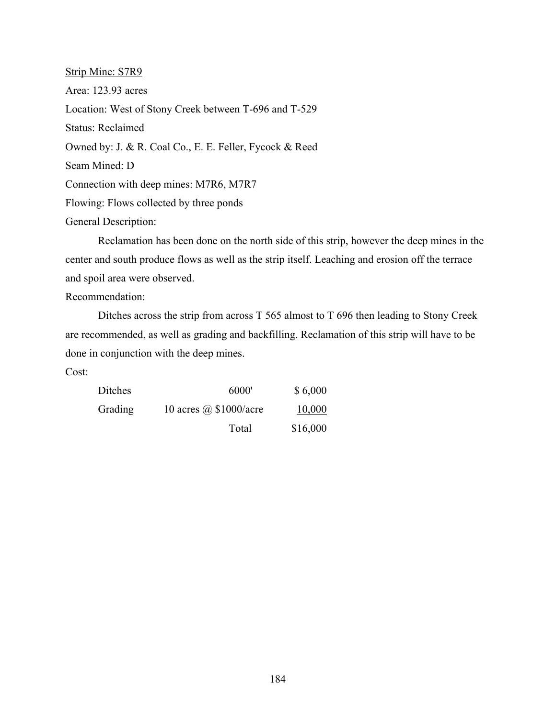Strip Mine: S7R9 Area: 123.93 acres Location: West of Stony Creek between T-696 and T-529 Status: Reclaimed Owned by: J. & R. Coal Co., E. E. Feller, Fycock & Reed Seam Mined: D Connection with deep mines: M7R6, M7R7 Flowing: Flows collected by three ponds General Description:

Reclamation has been done on the north side of this strip, however the deep mines in the center and south produce flows as well as the strip itself. Leaching and erosion off the terrace and spoil area were observed.

Recommendation:

Ditches across the strip from across T 565 almost to T 696 then leading to Stony Creek are recommended, as well as grading and backfilling. Reclamation of this strip will have to be done in conjunction with the deep mines.

Cost:

| Ditches | 6000'                         | \$6,000  |
|---------|-------------------------------|----------|
| Grading | 10 acres $\omega$ \$1000/acre | 10,000   |
|         | Total                         | \$16,000 |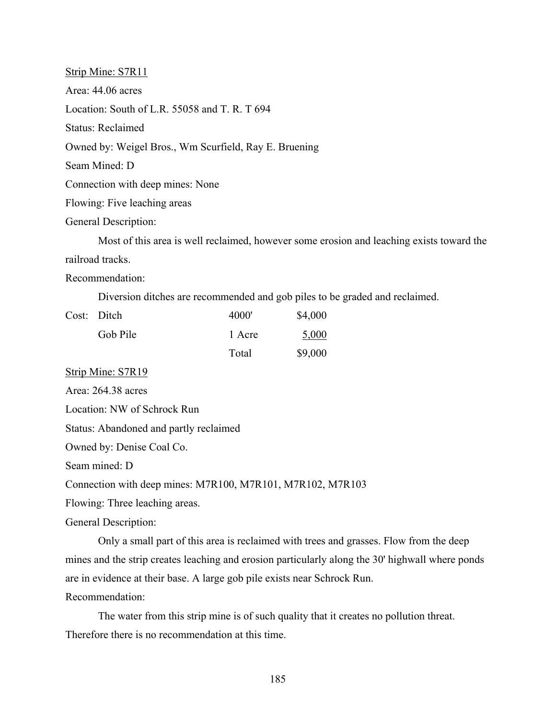Strip Mine: S7R11 Area: 44.06 acres Location: South of L.R. 55058 and T. R. T 694 Status: Reclaimed Owned by: Weigel Bros., Wm Scurfield, Ray E. Bruening Seam Mined: D Connection with deep mines: None Flowing: Five leaching areas General Description:

Most of this area is well reclaimed, however some erosion and leaching exists toward the railroad tracks.

Recommendation:

Diversion ditches are recommended and gob piles to be graded and reclaimed.

| Cost: Ditch | 4000'  | \$4,000 |
|-------------|--------|---------|
| Gob Pile    | 1 Acre | 5,000   |
|             | Total  | \$9,000 |

Strip Mine: S7R19

Area: 264.38 acres

Location: NW of Schrock Run

Status: Abandoned and partly reclaimed

Owned by: Denise Coal Co.

Seam mined: D

Connection with deep mines: M7R100, M7R101, M7R102, M7R103

Flowing: Three leaching areas.

General Description:

Only a small part of this area is reclaimed with trees and grasses. Flow from the deep mines and the strip creates leaching and erosion particularly along the 30' highwall where ponds are in evidence at their base. A large gob pile exists near Schrock Run. Recommendation:

The water from this strip mine is of such quality that it creates no pollution threat. Therefore there is no recommendation at this time.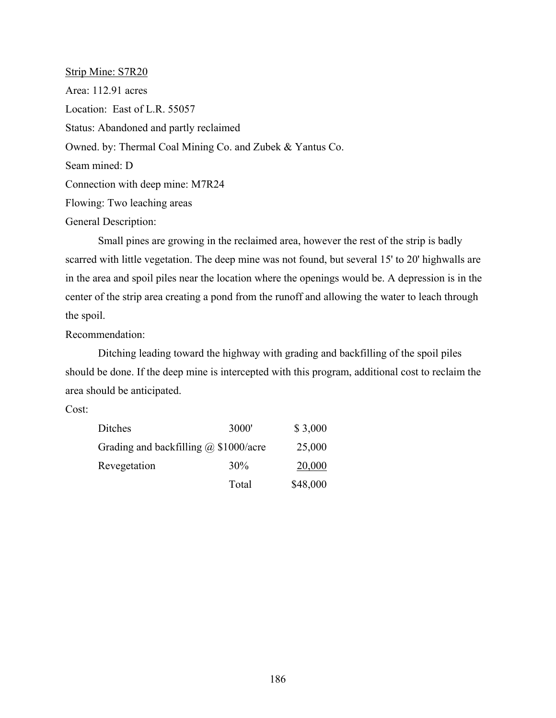Strip Mine: S7R20 Area: 112.91 acres Location: East of L.R. 55057 Status: Abandoned and partly reclaimed Owned. by: Thermal Coal Mining Co. and Zubek & Yantus Co. Seam mined: D Connection with deep mine: M7R24 Flowing: Two leaching areas General Description:

Small pines are growing in the reclaimed area, however the rest of the strip is badly scarred with little vegetation. The deep mine was not found, but several 15' to 20' highwalls are in the area and spoil piles near the location where the openings would be. A depression is in the center of the strip area creating a pond from the runoff and allowing the water to leach through the spoil.

Recommendation:

Ditching leading toward the highway with grading and backfilling of the spoil piles should be done. If the deep mine is intercepted with this program, additional cost to reclaim the area should be anticipated.

Cost:

| Ditches                                      | 3000'  | \$3,000  |
|----------------------------------------------|--------|----------|
| Grading and backfilling $\omega$ \$1000/acre |        | 25,000   |
| Revegetation                                 | $30\%$ | 20,000   |
|                                              | Total  | \$48,000 |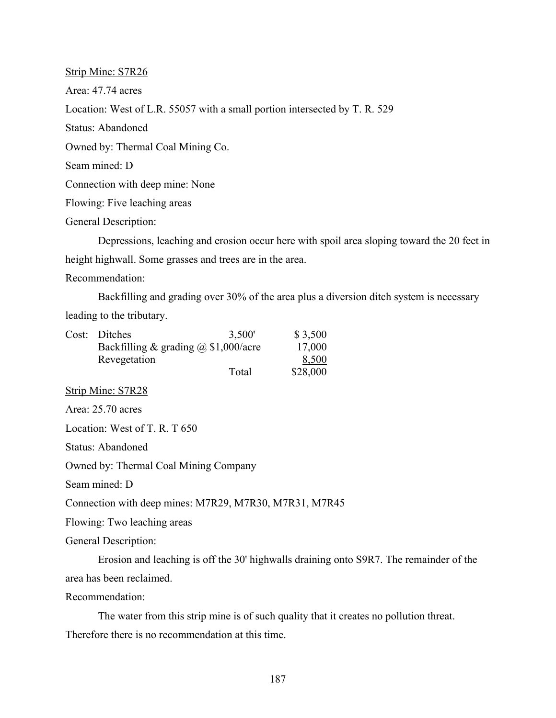Strip Mine: S7R26 Area: 47.74 acres Location: West of L.R. 55057 with a small portion intersected by T. R. 529 Status: Abandoned Owned by: Thermal Coal Mining Co. Seam mined: D Connection with deep mine: None Flowing: Five leaching areas General Description: Depressions, leaching and erosion occur here with spoil area sloping toward the 20 feet in height highwall. Some grasses and trees are in the area.

Recommendation:

Backfilling and grading over 30% of the area plus a diversion ditch system is necessary

leading to the tributary.

| Cost: Ditches                               | 3,500' | \$3,500  |
|---------------------------------------------|--------|----------|
| Backfilling & grading $\omega$ \$1,000/acre |        | 17,000   |
| Revegetation                                |        | 8,500    |
|                                             | Total  | \$28,000 |

Strip Mine: S7R28

Area: 25.70 acres

Location: West of T. R. T 650

Status: Abandoned

Owned by: Thermal Coal Mining Company

Seam mined: D

Connection with deep mines: M7R29, M7R30, M7R31, M7R45

Flowing: Two leaching areas

General Description:

Erosion and leaching is off the 30' highwalls draining onto S9R7. The remainder of the area has been reclaimed.

Recommendation:

The water from this strip mine is of such quality that it creates no pollution threat.

Therefore there is no recommendation at this time.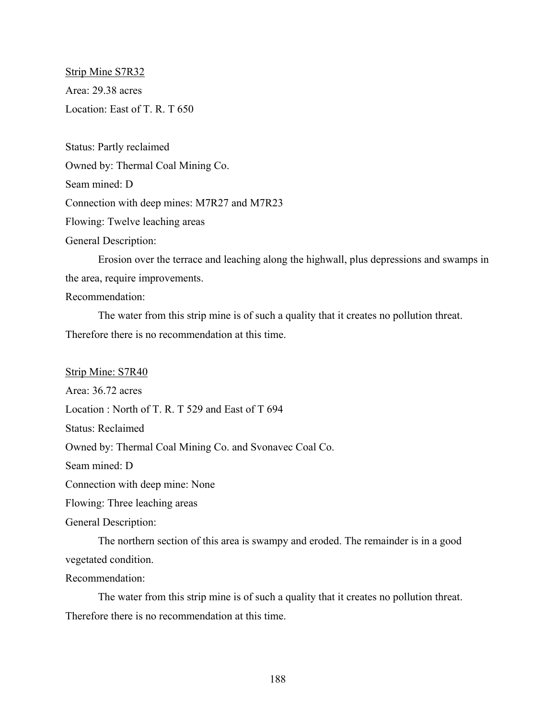Strip Mine S7R32 Area: 29.38 acres Location: East of T. R. T 650

Status: Partly reclaimed Owned by: Thermal Coal Mining Co. Seam mined: D Connection with deep mines: M7R27 and M7R23 Flowing: Twelve leaching areas

General Description:

Erosion over the terrace and leaching along the highwall, plus depressions and swamps in the area, require improvements.

## Recommendation:

The water from this strip mine is of such a quality that it creates no pollution threat. Therefore there is no recommendation at this time.

Strip Mine: S7R40

Area: 36.72 acres

Location : North of T. R. T 529 and East of T 694

Status: Reclaimed

Owned by: Thermal Coal Mining Co. and Svonavec Coal Co.

Seam mined: D

Connection with deep mine: None

Flowing: Three leaching areas

General Description:

The northern section of this area is swampy and eroded. The remainder is in a good vegetated condition.

Recommendation:

The water from this strip mine is of such a quality that it creates no pollution threat. Therefore there is no recommendation at this time.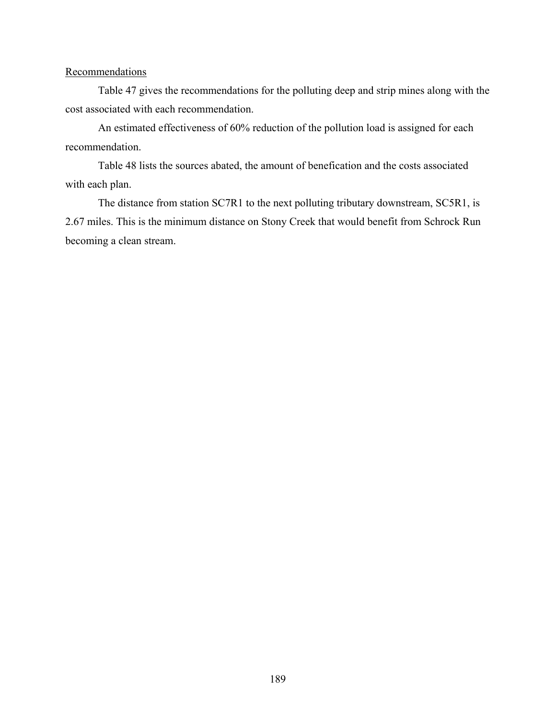### **Recommendations**

Table 47 gives the recommendations for the polluting deep and strip mines along with the cost associated with each recommendation.

An estimated effectiveness of 60% reduction of the pollution load is assigned for each recommendation.

Table 48 lists the sources abated, the amount of benefication and the costs associated with each plan.

The distance from station SC7R1 to the next polluting tributary downstream, SC5R1, is 2.67 miles. This is the minimum distance on Stony Creek that would benefit from Schrock Run becoming a clean stream.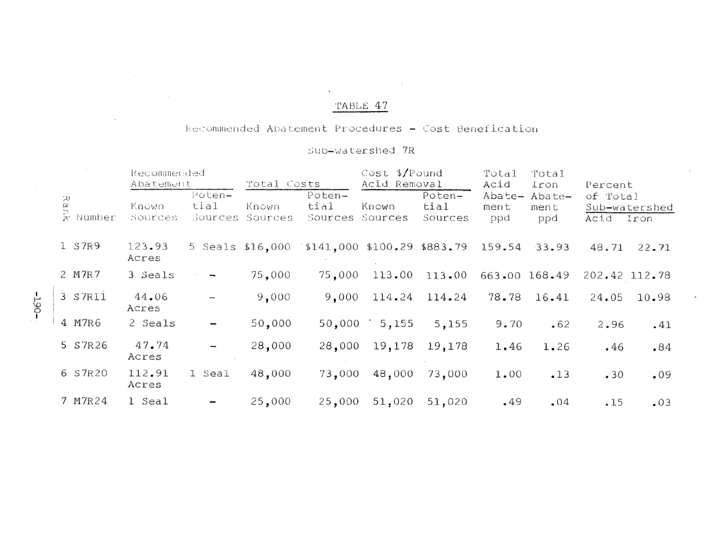# Recommended Abatement Procedures - Cost Benefication

# Sub-watershed 7R

|                    | Recommended<br>Abatement |                           | Total Costs      |                                                     | $Cost$ \$/Pound<br>Acid Removal |                           | Total<br>Acid         | Total<br>Iron         | Percent               |               |
|--------------------|--------------------------|---------------------------|------------------|-----------------------------------------------------|---------------------------------|---------------------------|-----------------------|-----------------------|-----------------------|---------------|
| ա<br>ը<br>* Number | Known<br>Sources         | Poten-<br>tial<br>Sources | Known<br>Sources | Poten-<br>tial<br>Sources                           | Known<br>Sources                | Poten-<br>tial<br>Sources | Abate-<br>ment<br>ppd | Abate-<br>ment<br>ppd | of Total<br>Acid Iron | Sub-watershed |
| 1 S7R9             | 123.93<br>Acres          |                           |                  | 5 Seals \$16,000 \$141,000 \$100,29 \$883.79 159.54 |                                 |                           |                       | 33.93                 | 48.71                 | 22.71         |
| 2 M7R7             | 3 Seals                  |                           | 75,000           | 75,000                                              | 113.00                          | 113.00                    |                       | 663.00 168.49         |                       | 202.42 112.78 |
| 3 S7R11            | 44.06<br>Acres           |                           | 9,000            | 9,000                                               |                                 | 114.24 114.24             | 78.78                 | 16.41                 | 24.05                 | 10.98         |
| 4 M7R6             | 2 Seals                  | $\overline{\phantom{a}}$  | 50,000           | 50,000                                              | 5,155                           | 5,155                     | 9.70                  | •62                   | 2.96                  | $-41$         |
| 5 S7R26            | 47.74<br>Acres           | $\overline{\phantom{a}}$  | 28,000           | 28,000                                              | 19,178                          | 19,178                    | 1.46                  | 1.26                  | .46                   | .84           |
| 6 S7R20            | 112.91<br>Acres          | 1 Seal                    | 48,000           | 73,000                                              | 48,000                          | 73,000                    | 1.00                  | .13                   | .30                   | .09           |
| 7 M7R24            | 1 Seal                   |                           | 25,000           | 25,000                                              | 51,020                          | 51,020                    | .49                   | .04                   | $-15$                 | .03           |
|                    |                          |                           |                  |                                                     |                                 |                           |                       |                       |                       |               |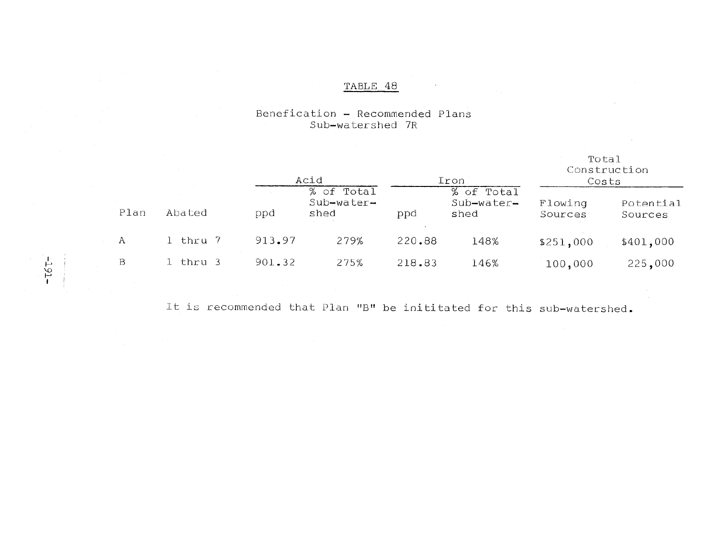#### Benefication - Recommended Plans Sub-watershed 7R

|      |          | Acid   |                                  | Iron   |                                  | rotal<br>Construction<br>Costs |                      |
|------|----------|--------|----------------------------------|--------|----------------------------------|--------------------------------|----------------------|
| Plan | Abated   | ppd    | % of Total<br>Sub-water-<br>shed | ppd    | % of Total<br>Sub-water-<br>shed | Flowing<br>Sources             | Potential<br>Sources |
| А    | 1 thru 7 | 913.97 | 279%                             | 220.88 | 148%                             | \$251,000                      | \$401,000            |
| B    | 1 thru 3 | 901.32 | 275%                             | 218.83 | 146%                             | 100,000                        | 225,000              |

 $\overline{m}$  =  $\overline{m}$ 

It is recommended that Plan "B" be inititated for this sub-watershed.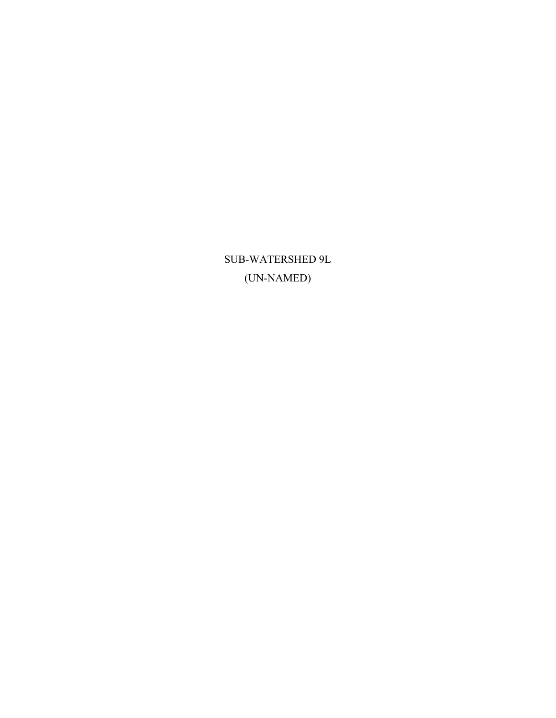SUB-WATERSHED 9L (UN-NAMED)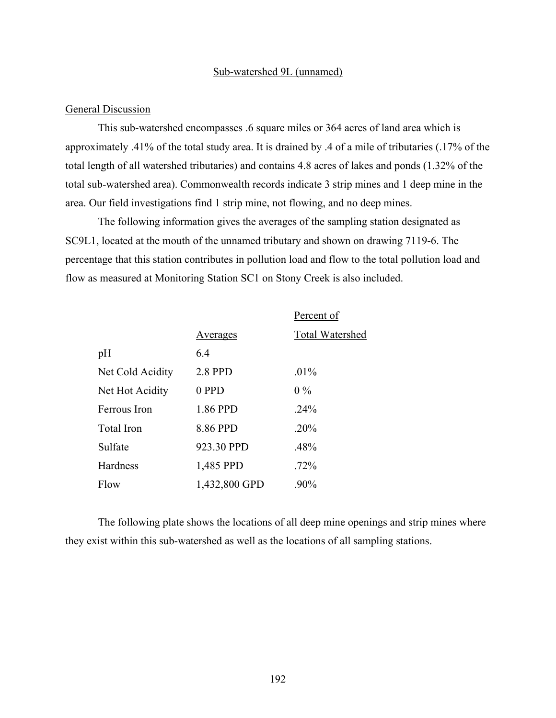#### Sub-watershed 9L (unnamed)

### General Discussion

This sub-watershed encompasses .6 square miles or 364 acres of land area which is approximately .41% of the total study area. It is drained by .4 of a mile of tributaries (.17% of the total length of all watershed tributaries) and contains 4.8 acres of lakes and ponds (1.32% of the total sub-watershed area). Commonwealth records indicate 3 strip mines and 1 deep mine in the area. Our field investigations find 1 strip mine, not flowing, and no deep mines.

The following information gives the averages of the sampling station designated as SC9L1, located at the mouth of the unnamed tributary and shown on drawing 7119-6. The percentage that this station contributes in pollution load and flow to the total pollution load and flow as measured at Monitoring Station SC1 on Stony Creek is also included.

|                  |                | Percent of             |
|------------------|----------------|------------------------|
|                  | Averages       | <b>Total Watershed</b> |
| pH               | 64             |                        |
| Net Cold Acidity | <b>2.8 PPD</b> | $.01\%$                |
| Net Hot Acidity  | 0 PPD          | $0\%$                  |
| Ferrous Iron     | 1.86 PPD       | .24%                   |
| Total Iron       | 8.86 PPD       | $.20\%$                |
| Sulfate          | 923.30 PPD     | .48%                   |
| Hardness         | 1,485 PPD      | $.72\%$                |
| Flow             | 1,432,800 GPD  | $.90\%$                |

The following plate shows the locations of all deep mine openings and strip mines where they exist within this sub-watershed as well as the locations of all sampling stations.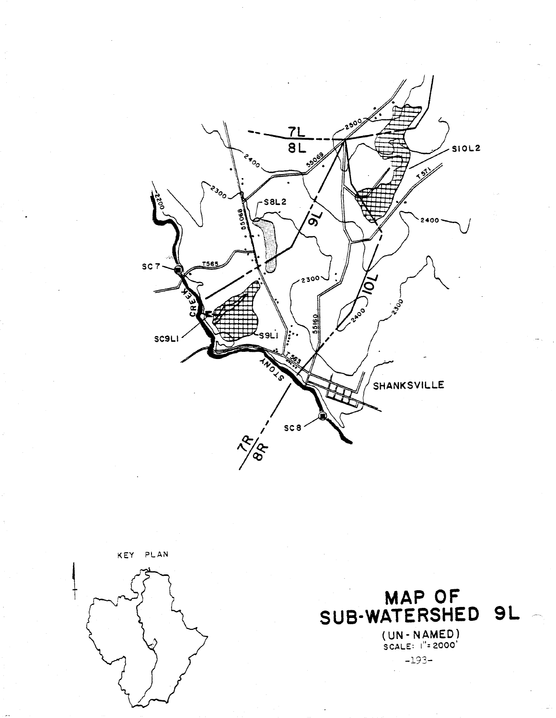